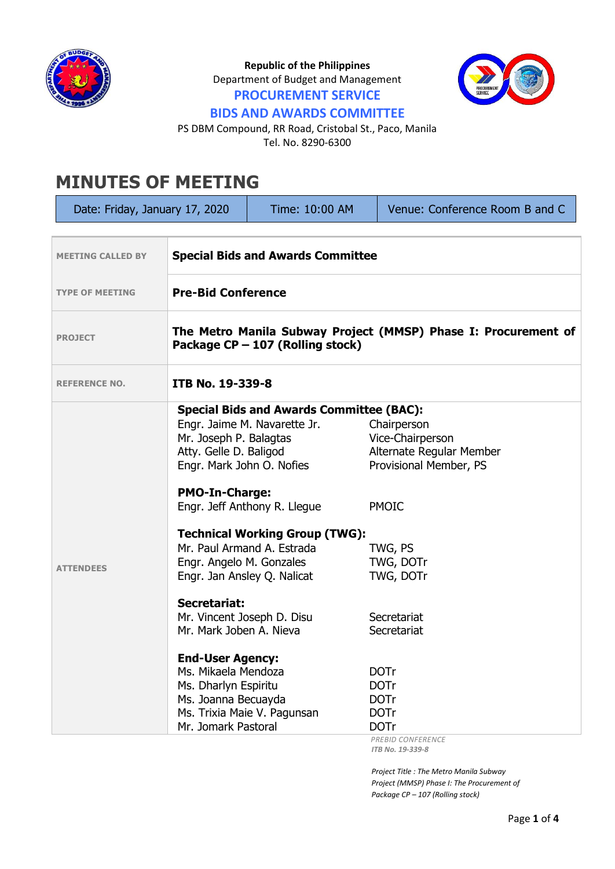

**Republic of the Philippines** Department of Budget and Management **PROCUREMENT SERVICE**



## **BIDS AND AWARDS COMMITTEE**

PS DBM Compound, RR Road, Cristobal St., Paco, Manila Tel. No. 8290-6300

## **MINUTES OF MEETING**

| Date: Friday, January 17, 2020                                       |                                                                                                                                                                        | Time: 10:00 AM                                                                                                                                                                                                                                     | Venue: Conference Room B and C                                                                                                             |  |
|----------------------------------------------------------------------|------------------------------------------------------------------------------------------------------------------------------------------------------------------------|----------------------------------------------------------------------------------------------------------------------------------------------------------------------------------------------------------------------------------------------------|--------------------------------------------------------------------------------------------------------------------------------------------|--|
| <b>Special Bids and Awards Committee</b><br><b>MEETING CALLED BY</b> |                                                                                                                                                                        |                                                                                                                                                                                                                                                    |                                                                                                                                            |  |
| <b>TYPE OF MEETING</b>                                               | <b>Pre-Bid Conference</b>                                                                                                                                              |                                                                                                                                                                                                                                                    |                                                                                                                                            |  |
| <b>PROJECT</b>                                                       | The Metro Manila Subway Project (MMSP) Phase I: Procurement of<br>Package CP - 107 (Rolling stock)                                                                     |                                                                                                                                                                                                                                                    |                                                                                                                                            |  |
| <b>REFERENCE NO.</b>                                                 | ITB No. 19-339-8                                                                                                                                                       |                                                                                                                                                                                                                                                    |                                                                                                                                            |  |
| <b>ATTENDEES</b>                                                     | Mr. Joseph P. Balagtas<br>Atty. Gelle D. Baligod<br><b>PMO-In-Charge:</b><br>Engr. Angelo M. Gonzales                                                                  | <b>Special Bids and Awards Committee (BAC):</b><br>Engr. Jaime M. Navarette Jr.<br>Engr. Mark John O. Nofies<br>Engr. Jeff Anthony R. Llegue<br><b>Technical Working Group (TWG):</b><br>Mr. Paul Armand A. Estrada<br>Engr. Jan Ansley Q. Nalicat | Chairperson<br>Vice-Chairperson<br>Alternate Regular Member<br>Provisional Member, PS<br><b>PMOIC</b><br>TWG, PS<br>TWG, DOTr<br>TWG, DOTr |  |
|                                                                      | <b>Secretariat:</b><br>Mr. Mark Joben A. Nieva<br><b>End-User Agency:</b><br>Ms. Mikaela Mendoza<br>Ms. Dharlyn Espiritu<br>Ms. Joanna Becuayda<br>Mr. Jomark Pastoral | Mr. Vincent Joseph D. Disu<br>Ms. Trixia Maie V. Pagunsan                                                                                                                                                                                          | Secretariat<br>Secretariat<br><b>DOTr</b><br><b>DOTr</b><br><b>DOTr</b><br><b>DOTr</b><br><b>DOTr</b><br>PREBID CONFERENCE                 |  |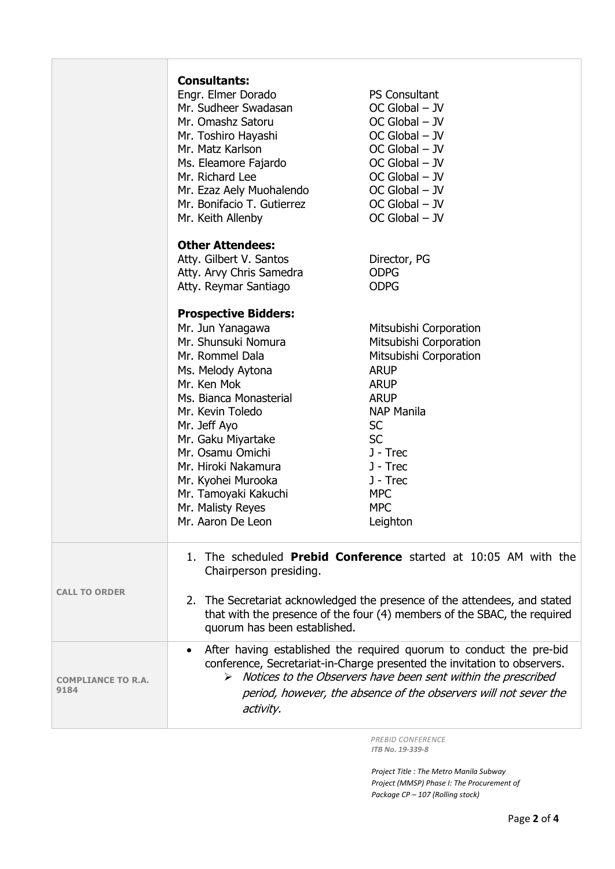|                                   | <b>Consultants:</b><br>Engr. Elmer Dorado<br>Mr. Sudheer Swadasan<br>Mr. Omashz Satoru<br>Mr. Toshiro Hayashi<br>Mr. Matz Karlson<br>Ms. Eleamore Fajardo<br>Mr. Richard Lee<br>Mr. Ezaz Aely Muohalendo<br>Mr. Bonifacio T. Gutierrez<br>Mr. Keith Allenby                                                                                          | <b>PS Consultant</b><br>$OC$ Global $-$ JV<br>$OC$ Global $-$ JV<br>$OC$ Global $-$ JV<br>$OC$ Global $-$ JV<br>$OC$ Global $-$ JV<br>$OC$ Global $-$ JV<br>$OC$ Global $-$ JV<br>$OC$ Global $-$ JV<br>OC Global - JV                             |  |
|-----------------------------------|------------------------------------------------------------------------------------------------------------------------------------------------------------------------------------------------------------------------------------------------------------------------------------------------------------------------------------------------------|----------------------------------------------------------------------------------------------------------------------------------------------------------------------------------------------------------------------------------------------------|--|
|                                   | <b>Other Attendees:</b><br>Atty. Gilbert V. Santos<br>Atty. Arvy Chris Samedra<br>Atty. Reymar Santiago                                                                                                                                                                                                                                              | Director, PG<br><b>ODPG</b><br><b>ODPG</b>                                                                                                                                                                                                         |  |
|                                   | <b>Prospective Bidders:</b><br>Mr. Jun Yanagawa<br>Mr. Shunsuki Nomura<br>Mr. Rommel Dala<br>Ms. Melody Aytona<br>Mr. Ken Mok<br>Ms. Bianca Monasterial<br>Mr. Kevin Toledo<br>Mr. Jeff Ayo<br>Mr. Gaku Miyartake<br>Mr. Osamu Omichi<br>Mr. Hiroki Nakamura<br>Mr. Kyohei Murooka<br>Mr. Tamoyaki Kakuchi<br>Mr. Malisty Reyes<br>Mr. Aaron De Leon | Mitsubishi Corporation<br>Mitsubishi Corporation<br>Mitsubishi Corporation<br><b>ARUP</b><br><b>ARUP</b><br><b>ARUP</b><br><b>NAP Manila</b><br><b>SC</b><br><b>SC</b><br>J - Trec<br>J - Trec<br>J - Trec<br><b>MPC</b><br><b>MPC</b><br>Leighton |  |
| <b>CALL TO ORDER</b>              | 1. The scheduled <b>Prebid Conference</b> started at 10:05 AM with the<br>Chairperson presiding.<br>2. The Secretariat acknowledged the presence of the attendees, and stated<br>that with the presence of the four (4) members of the SBAC, the required<br>quorum has been established.                                                            |                                                                                                                                                                                                                                                    |  |
| <b>COMPLIANCE TO R.A.</b><br>9184 | After having established the required quorum to conduct the pre-bid<br>$\bullet$<br>conference, Secretariat-in-Charge presented the invitation to observers.<br>$\triangleright$ Notices to the Observers have been sent within the prescribed<br>period, however, the absence of the observers will not sever the<br>activity.                      |                                                                                                                                                                                                                                                    |  |

 *PREBID CONFERENCE ITB No. 19-339-8*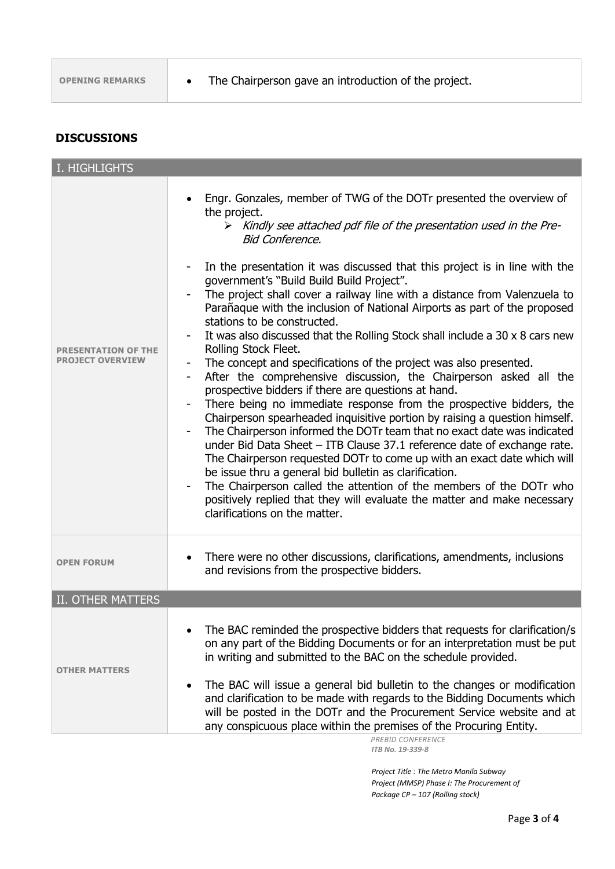## **DISCUSSIONS**

| I. HIGHLIGHTS                               |                                                                                                                                                                                                                                                                                                                                                                                                                                                                                                                                                                                                                                                                                                                                                                                                                                                                                                                                                                                                                                                                                                                                                                                                                                                                                                                                                                                                                                                            |
|---------------------------------------------|------------------------------------------------------------------------------------------------------------------------------------------------------------------------------------------------------------------------------------------------------------------------------------------------------------------------------------------------------------------------------------------------------------------------------------------------------------------------------------------------------------------------------------------------------------------------------------------------------------------------------------------------------------------------------------------------------------------------------------------------------------------------------------------------------------------------------------------------------------------------------------------------------------------------------------------------------------------------------------------------------------------------------------------------------------------------------------------------------------------------------------------------------------------------------------------------------------------------------------------------------------------------------------------------------------------------------------------------------------------------------------------------------------------------------------------------------------|
| <b>SENTATION OF THE</b><br>PROJECT OVERVIEW | Engr. Gonzales, member of TWG of the DOTr presented the overview of<br>the project.<br>> Kindly see attached pdf file of the presentation used in the Pre-<br><b>Bid Conference,</b><br>In the presentation it was discussed that this project is in line with the<br>government's "Build Build Build Project".<br>The project shall cover a railway line with a distance from Valenzuela to<br>Parañaque with the inclusion of National Airports as part of the proposed<br>stations to be constructed.<br>It was also discussed that the Rolling Stock shall include a 30 x 8 cars new<br>Rolling Stock Fleet.<br>The concept and specifications of the project was also presented.<br>After the comprehensive discussion, the Chairperson asked all the<br>٠<br>prospective bidders if there are questions at hand.<br>There being no immediate response from the prospective bidders, the<br>Chairperson spearheaded inquisitive portion by raising a question himself.<br>The Chairperson informed the DOTr team that no exact date was indicated<br>under Bid Data Sheet - ITB Clause 37.1 reference date of exchange rate.<br>The Chairperson requested DOTr to come up with an exact date which will<br>be issue thru a general bid bulletin as clarification.<br>The Chairperson called the attention of the members of the DOTr who<br>positively replied that they will evaluate the matter and make necessary<br>clarifications on the matter. |
| <b>OPEN FORUM</b>                           | There were no other discussions, clarifications, amendments, inclusions<br>and revisions from the prospective bidders.                                                                                                                                                                                                                                                                                                                                                                                                                                                                                                                                                                                                                                                                                                                                                                                                                                                                                                                                                                                                                                                                                                                                                                                                                                                                                                                                     |
| II. OTHER MATTERS                           |                                                                                                                                                                                                                                                                                                                                                                                                                                                                                                                                                                                                                                                                                                                                                                                                                                                                                                                                                                                                                                                                                                                                                                                                                                                                                                                                                                                                                                                            |
| <b>OTHER MATTERS</b>                        | The BAC reminded the prospective bidders that requests for clarification/s<br>on any part of the Bidding Documents or for an interpretation must be put<br>in writing and submitted to the BAC on the schedule provided.<br>The BAC will issue a general bid bulletin to the changes or modification<br>٠<br>and clarification to be made with regards to the Bidding Documents which<br>will be posted in the DOTr and the Procurement Service website and at<br>any conspicuous place within the premises of the Procuring Entity.                                                                                                                                                                                                                                                                                                                                                                                                                                                                                                                                                                                                                                                                                                                                                                                                                                                                                                                       |

 *PREBID CONFERENCE ITB No. 19-339-8*